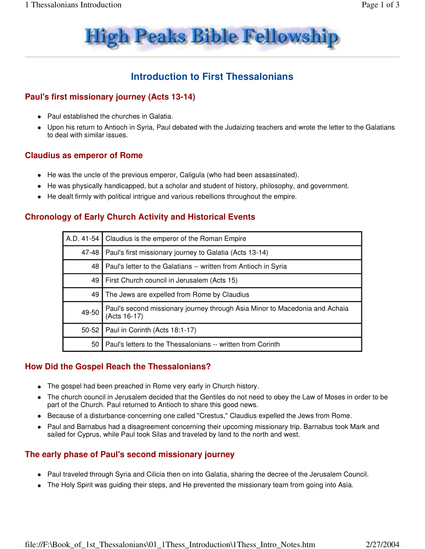

# **Introduction to First Thessalonians**

# **Paul's first missionary journey (Acts 13-14)**

- Paul established the churches in Galatia.
- Upon his return to Antioch in Syria, Paul debated with the Judaizing teachers and wrote the letter to the Galatians to deal with similar issues.

#### **Claudius as emperor of Rome**

- He was the uncle of the previous emperor, Caligula (who had been assassinated).
- He was physically handicapped, but a scholar and student of history, philosophy, and government.
- He dealt firmly with political intrigue and various rebellions throughout the empire.

#### **Chronology of Early Church Activity and Historical Events**

| A.D. 41-54 | Claudius is the emperor of the Roman Empire                                                 |
|------------|---------------------------------------------------------------------------------------------|
| 47-48      | Paul's first missionary journey to Galatia (Acts 13-14)                                     |
| 48         | Paul's letter to the Galatians -- written from Antioch in Syria                             |
| 49         | First Church council in Jerusalem (Acts 15)                                                 |
| 49         | The Jews are expelled from Rome by Claudius                                                 |
| 49-50      | Paul's second missionary journey through Asia Minor to Macedonia and Achaia<br>(Acts 16-17) |
| $50 - 52$  | Paul in Corinth (Acts 18:1-17)                                                              |
| 50         | Paul's letters to the Thessalonians -- written from Corinth                                 |

#### **How Did the Gospel Reach the Thessalonians?**

- The gospel had been preached in Rome very early in Church history.
- The church council in Jerusalem decided that the Gentiles do not need to obey the Law of Moses in order to be part of the Church. Paul returned to Antioch to share this good news.
- Because of a disturbance concerning one called "Crestus," Claudius expelled the Jews from Rome.
- Paul and Barnabus had a disagreement concerning their upcoming missionary trip. Barnabus took Mark and sailed for Cyprus, while Paul took Silas and traveled by land to the north and west.

# **The early phase of Paul's second missionary journey**

- Paul traveled through Syria and Cilicia then on into Galatia, sharing the decree of the Jerusalem Council.
- The Holy Spirit was guiding their steps, and He prevented the missionary team from going into Asia.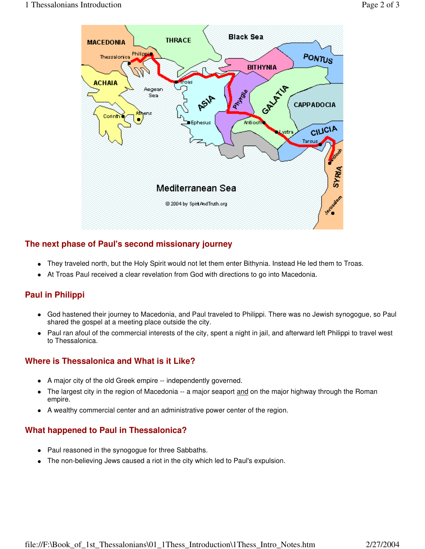

# **The next phase of Paul's second missionary journey**

- They traveled north, but the Holy Spirit would not let them enter Bithynia. Instead He led them to Troas.
- At Troas Paul received a clear revelation from God with directions to go into Macedonia.

# **Paul in Philippi**

- God hastened their journey to Macedonia, and Paul traveled to Philippi. There was no Jewish synogogue, so Paul shared the gospel at a meeting place outside the city.
- Paul ran afoul of the commercial interests of the city, spent a night in jail, and afterward left Philippi to travel west to Thessalonica.

# **Where is Thessalonica and What is it Like?**

- A major city of the old Greek empire -- independently governed.
- The largest city in the region of Macedonia -- a major seaport and on the major highway through the Roman empire.
- A wealthy commercial center and an administrative power center of the region.

# **What happened to Paul in Thessalonica?**

- Paul reasoned in the synogogue for three Sabbaths.
- The non-believing Jews caused a riot in the city which led to Paul's expulsion.